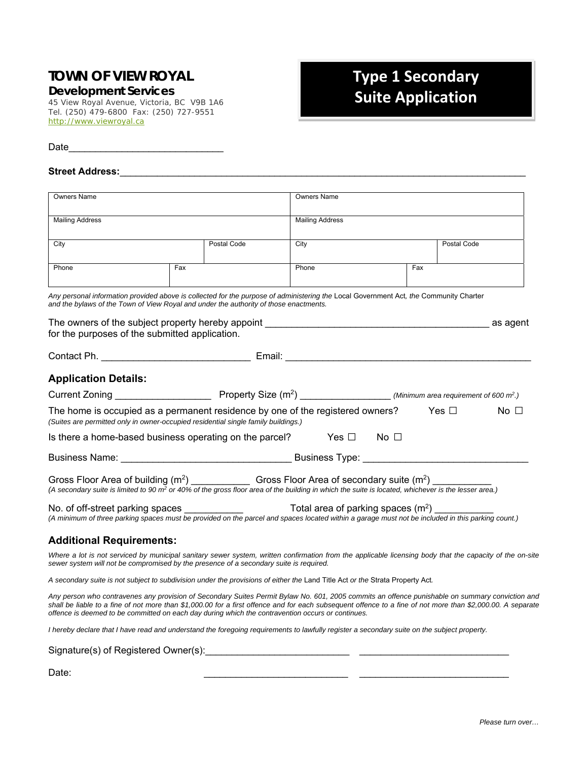## **TOWN OF VIEW ROYAL**

*Development Services*

45 View Royal Avenue, Victoria, BC V9B 1A6 Tel. (250) 479-6800 Fax: (250) 727-9551 http://www.viewroyal.ca

## **Type 1 Secondary Suite Application**

Date\_\_\_\_\_\_\_\_\_\_\_\_\_\_\_\_\_\_\_\_\_\_\_\_\_\_\_\_\_

## Street Address: **with a street Address**: **with a street and a street and a street and a street and a street and a street and a street and a street and a street and a street and a street and a street and a street and a stre**

| <b>Owners Name</b>                                                                                                                                                                                                                                                       |     |             | <b>Owners Name</b>     |     |                                                                                                                                                                                                                                                                                                                |
|--------------------------------------------------------------------------------------------------------------------------------------------------------------------------------------------------------------------------------------------------------------------------|-----|-------------|------------------------|-----|----------------------------------------------------------------------------------------------------------------------------------------------------------------------------------------------------------------------------------------------------------------------------------------------------------------|
| <b>Mailing Address</b>                                                                                                                                                                                                                                                   |     |             | <b>Mailing Address</b> |     |                                                                                                                                                                                                                                                                                                                |
| City                                                                                                                                                                                                                                                                     |     | Postal Code | City                   |     | Postal Code                                                                                                                                                                                                                                                                                                    |
| Phone                                                                                                                                                                                                                                                                    | Fax |             | Phone                  | Fax |                                                                                                                                                                                                                                                                                                                |
| Any personal information provided above is collected for the purpose of administering the Local Government Act, the Community Charter<br>and the bylaws of the Town of View Royal and under the authority of those enactments.                                           |     |             |                        |     |                                                                                                                                                                                                                                                                                                                |
| for the purposes of the submitted application.                                                                                                                                                                                                                           |     |             |                        |     |                                                                                                                                                                                                                                                                                                                |
|                                                                                                                                                                                                                                                                          |     |             |                        |     |                                                                                                                                                                                                                                                                                                                |
| <b>Application Details:</b>                                                                                                                                                                                                                                              |     |             |                        |     |                                                                                                                                                                                                                                                                                                                |
|                                                                                                                                                                                                                                                                          |     |             |                        |     |                                                                                                                                                                                                                                                                                                                |
| The home is occupied as a permanent residence by one of the registered owners? $\hskip1cm$ Yes $\Box$<br>(Suites are permitted only in owner-occupied residential single family buildings.)                                                                              |     |             |                        |     | No $\Box$                                                                                                                                                                                                                                                                                                      |
| Is there a home-based business operating on the parcel? Yes $\Box$ No $\Box$                                                                                                                                                                                             |     |             |                        |     |                                                                                                                                                                                                                                                                                                                |
|                                                                                                                                                                                                                                                                          |     |             |                        |     |                                                                                                                                                                                                                                                                                                                |
| Gross Floor Area of building $(m^2)$ _____________________Gross Floor Area of secondary suite $(m^2)$<br>(A secondary suite is limited to 90 m <sup>2</sup> or 40% of the gross floor area of the building in which the suite is located, whichever is the lesser area.) |     |             |                        |     |                                                                                                                                                                                                                                                                                                                |
| No. of off-street parking spaces $\frac{1}{2}$ Total area of parking spaces $(m^2)$                                                                                                                                                                                      |     |             |                        |     | (A minimum of three parking spaces must be provided on the parcel and spaces located within a garage must not be included in this parking count.)                                                                                                                                                              |
| <b>Additional Requirements:</b>                                                                                                                                                                                                                                          |     |             |                        |     |                                                                                                                                                                                                                                                                                                                |
| sewer system will not be compromised by the presence of a secondary suite is required.                                                                                                                                                                                   |     |             |                        |     | Where a lot is not serviced by municipal sanitary sewer system, written confirmation from the applicable licensing body that the capacity of the on-site                                                                                                                                                       |
| A secondary suite is not subject to subdivision under the provisions of either the Land Title Act or the Strata Property Act.                                                                                                                                            |     |             |                        |     |                                                                                                                                                                                                                                                                                                                |
| offence is deemed to be committed on each day during which the contravention occurs or continues.                                                                                                                                                                        |     |             |                        |     | Any person who contravenes any provision of Secondary Suites Permit Bylaw No. 601, 2005 commits an offence punishable on summary conviction and<br>shall be liable to a fine of not more than \$1,000.00 for a first offence and for each subsequent offence to a fine of not more than \$2,000.00. A separate |

*I hereby declare that I have read and understand the foregoing requirements to lawfully register a secondary suite on the subject property.* 

Signature(s) of Registered Owner(s):\_\_\_\_\_\_\_\_\_\_\_\_\_\_\_\_\_\_\_\_\_\_\_\_\_\_\_ \_\_\_\_\_\_\_\_\_\_\_\_\_\_\_\_\_\_\_\_\_\_\_\_\_\_\_\_

Date:  $\Box$